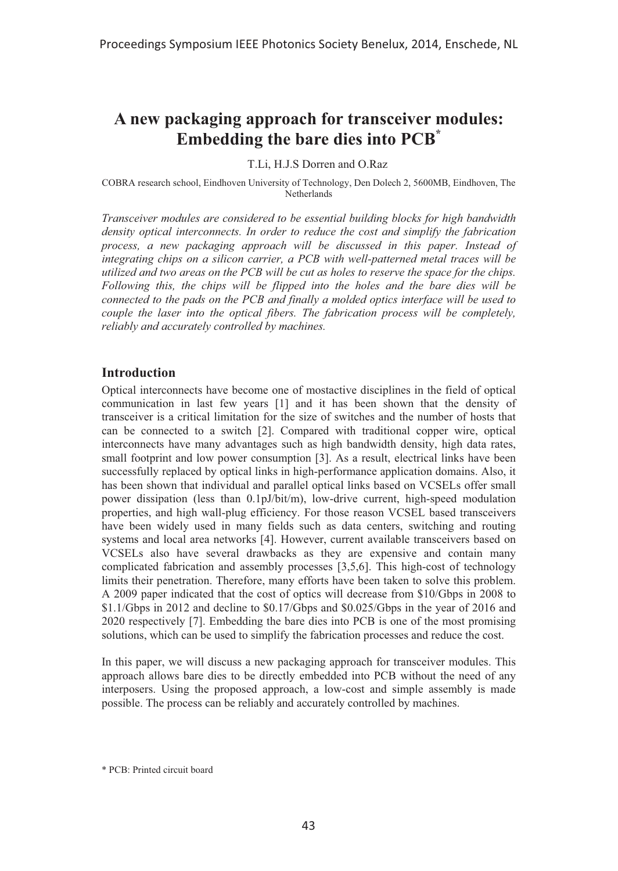# **A new packaging approach for transceiver modules: Embedding the bare dies into PCB\***

T.Li, H.J.S Dorren and O.Raz

COBRA research school, Eindhoven University of Technology, Den Dolech 2, 5600MB, Eindhoven, The Netherlands

*Transceiver modules are considered to be essential building blocks for high bandwidth density optical interconnects. In order to reduce the cost and simplify the fabrication process, a new packaging approach will be discussed in this paper. Instead of integrating chips on a silicon carrier, a PCB with well-patterned metal traces will be utilized and two areas on the PCB will be cut as holes to reserve the space for the chips. Following this, the chips will be flipped into the holes and the bare dies will be connected to the pads on the PCB and finally a molded optics interface will be used to couple the laser into the optical fibers. The fabrication process will be completely, reliably and accurately controlled by machines.* 

### **Introduction**

Optical interconnects have become one of mostactive disciplines in the field of optical communication in last few years [1] and it has been shown that the density of transceiver is a critical limitation for the size of switches and the number of hosts that can be connected to a switch [2]. Compared with traditional copper wire, optical interconnects have many advantages such as high bandwidth density, high data rates, small footprint and low power consumption [3]. As a result, electrical links have been successfully replaced by optical links in high-performance application domains. Also, it has been shown that individual and parallel optical links based on VCSELs offer small power dissipation (less than 0.1pJ/bit/m), low-drive current, high-speed modulation properties, and high wall-plug efficiency. For those reason VCSEL based transceivers have been widely used in many fields such as data centers, switching and routing systems and local area networks [4]. However, current available transceivers based on VCSELs also have several drawbacks as they are expensive and contain many complicated fabrication and assembly processes [3,5,6]. This high-cost of technology limits their penetration. Therefore, many efforts have been taken to solve this problem. A 2009 paper indicated that the cost of optics will decrease from \$10/Gbps in 2008 to \$1.1/Gbps in 2012 and decline to \$0.17/Gbps and \$0.025/Gbps in the year of 2016 and 2020 respectively [7]. Embedding the bare dies into PCB is one of the most promising solutions, which can be used to simplify the fabrication processes and reduce the cost.

In this paper, we will discuss a new packaging approach for transceiver modules. This approach allows bare dies to be directly embedded into PCB without the need of any interposers. Using the proposed approach, a low-cost and simple assembly is made possible. The process can be reliably and accurately controlled by machines.

<sup>\*</sup> PCB: Printed circuit board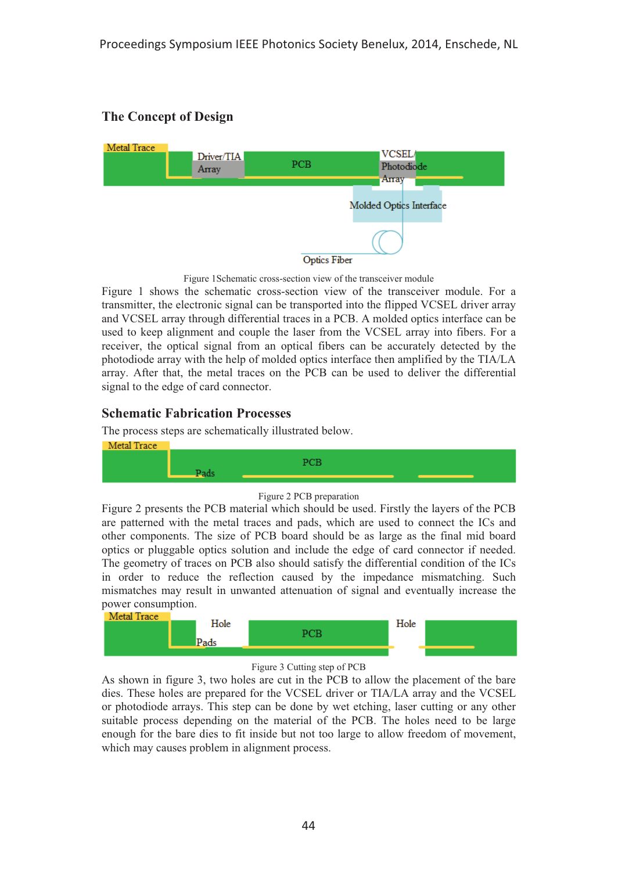# **The Concept of Design**



Figure 1Schematic cross-section view of the transceiver module

Figure 1 shows the schematic cross-section view of the transceiver module. For a transmitter, the electronic signal can be transported into the flipped VCSEL driver array and VCSEL array through differential traces in a PCB. A molded optics interface can be used to keep alignment and couple the laser from the VCSEL array into fibers. For a receiver, the optical signal from an optical fibers can be accurately detected by the photodiode array with the help of molded optics interface then amplified by the TIA/LA array. After that, the metal traces on the PCB can be used to deliver the differential signal to the edge of card connector.

## **Schematic Fabrication Processes**

The process steps are schematically illustrated below.





Figure 2 presents the PCB material which should be used. Firstly the layers of the PCB are patterned with the metal traces and pads, which are used to connect the ICs and other components. The size of PCB board should be as large as the final mid board optics or pluggable optics solution and include the edge of card connector if needed. The geometry of traces on PCB also should satisfy the differential condition of the ICs in order to reduce the reflection caused by the impedance mismatching. Such mismatches may result in unwanted attenuation of signal and eventually increase the power consumption.<br>Metal Trace



#### Figure 3 Cutting step of PCB

As shown in figure 3, two holes are cut in the PCB to allow the placement of the bare dies. These holes are prepared for the VCSEL driver or TIA/LA array and the VCSEL or photodiode arrays. This step can be done by wet etching, laser cutting or any other suitable process depending on the material of the PCB. The holes need to be large enough for the bare dies to fit inside but not too large to allow freedom of movement, which may causes problem in alignment process.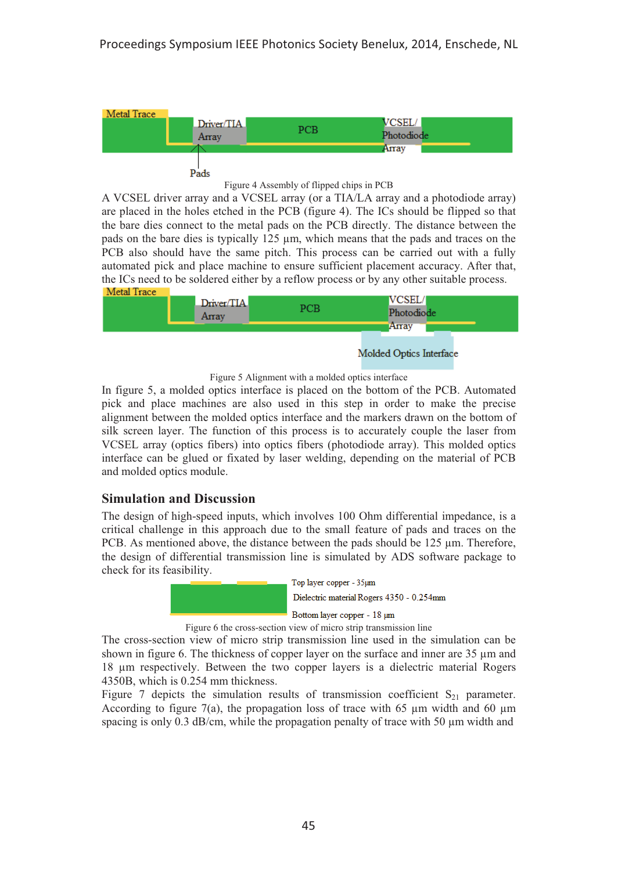



A VCSEL driver array and a VCSEL array (or a TIA/LA array and a photodiode array) are placed in the holes etched in the PCB (figure 4). The ICs should be flipped so that the bare dies connect to the metal pads on the PCB directly. The distance between the pads on the bare dies is typically 125 μm, which means that the pads and traces on the PCB also should have the same pitch. This process can be carried out with a fully automated pick and place machine to ensure sufficient placement accuracy. After that, the ICs need to be soldered either by a reflow process or by any other suitable process.<br> **Metal Trace** 



Figure 5 Alignment with a molded optics interface

In figure 5, a molded optics interface is placed on the bottom of the PCB. Automated pick and place machines are also used in this step in order to make the precise alignment between the molded optics interface and the markers drawn on the bottom of silk screen layer. The function of this process is to accurately couple the laser from VCSEL array (optics fibers) into optics fibers (photodiode array). This molded optics interface can be glued or fixated by laser welding, depending on the material of PCB and molded optics module.

### **Simulation and Discussion**

The design of high-speed inputs, which involves 100 Ohm differential impedance, is a critical challenge in this approach due to the small feature of pads and traces on the PCB. As mentioned above, the distance between the pads should be 125 μm. Therefore, the design of differential transmission line is simulated by ADS software package to check for its feasibility.



Figure 6 the cross-section view of micro strip transmission line

The cross-section view of micro strip transmission line used in the simulation can be shown in figure 6. The thickness of copper layer on the surface and inner are 35 μm and 18 μm respectively. Between the two copper layers is a dielectric material Rogers 4350B, which is 0.254 mm thickness.

Figure 7 depicts the simulation results of transmission coefficient  $S_{21}$  parameter. According to figure 7(a), the propagation loss of trace with 65 μm width and 60 μm spacing is only 0.3 dB/cm, while the propagation penalty of trace with 50  $\mu$ m width and